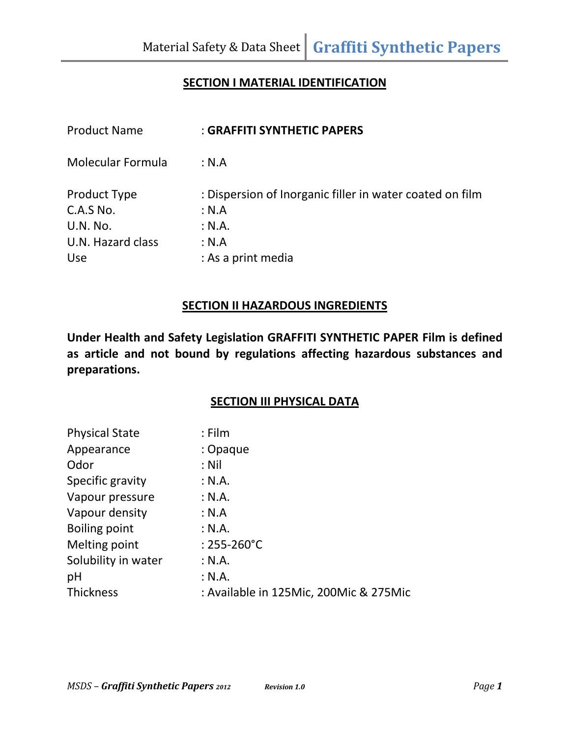## **SECTION I MATERIAL IDENTIFICATION**

| <b>Product Name</b> | : GRAFFITI SYNTHETIC PAPERS                              |
|---------------------|----------------------------------------------------------|
| Molecular Formula   | : N.A                                                    |
| Product Type        | : Dispersion of Inorganic filler in water coated on film |
| C.A.S No.           | : N.A                                                    |
| <b>U.N. No.</b>     | : N.A.                                                   |
| U.N. Hazard class   | : N.A                                                    |
| Use                 | : As a print media                                       |

#### **SECTION II HAZARDOUS INGREDIENTS**

**Under Health and Safety Legislation GRAFFITI SYNTHETIC PAPER Film is defined as article and not bound by regulations affecting hazardous substances and preparations.**

# **SECTION III PHYSICAL DATA**

| <b>Physical State</b> | $:$ Film                               |
|-----------------------|----------------------------------------|
| Appearance            | : Opaque                               |
| Odor                  | : Nil                                  |
| Specific gravity      | : N.A.                                 |
| Vapour pressure       | : N.A.                                 |
| Vapour density        | : N.A                                  |
| <b>Boiling point</b>  | : N.A.                                 |
| Melting point         | $: 255 - 260^{\circ}C$                 |
| Solubility in water   | : N.A.                                 |
| pH                    | : N.A.                                 |
| <b>Thickness</b>      | : Available in 125Mic, 200Mic & 275Mic |
|                       |                                        |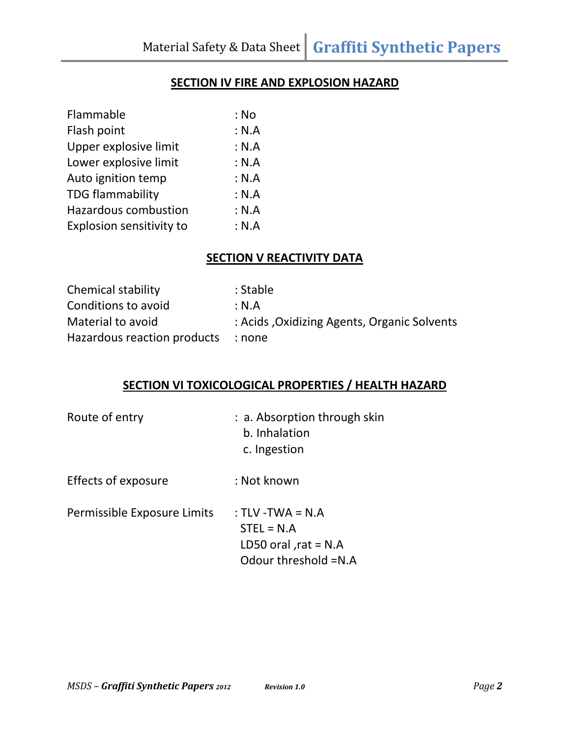#### **SECTION IV FIRE AND EXPLOSION HAZARD**

| : No  |
|-------|
| : N.A |
| : N.A |
| : N.A |
| : N.A |
| : N.A |
| : N.A |
| : N.A |
|       |

## **SECTION V REACTIVITY DATA**

| <b>Chemical stability</b>   | : Stable                                    |
|-----------------------------|---------------------------------------------|
| Conditions to avoid         | :N.A                                        |
| Material to avoid           | : Acids, Oxidizing Agents, Organic Solvents |
| Hazardous reaction products | none :                                      |

## **SECTION VI TOXICOLOGICAL PROPERTIES / HEALTH HAZARD**

| Route of entry              | : a. Absorption through skin<br>b. Inhalation<br>c. Ingestion                         |
|-----------------------------|---------------------------------------------------------------------------------------|
| Effects of exposure         | : Not known                                                                           |
| Permissible Exposure Limits | : TLV -TWA = $N.A$<br>$STEL = N.A$<br>LD50 oral , $rat = N.A$<br>Odour threshold =N.A |